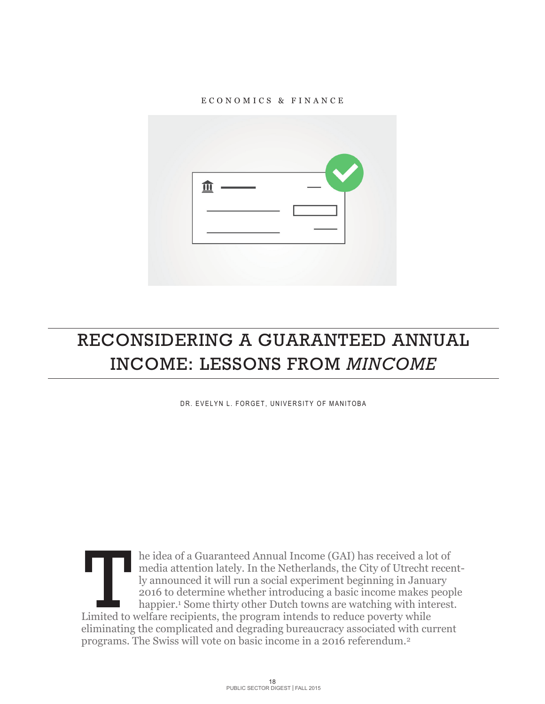

# RECONSIDERING A GUARANTEED ANNUAL INCOME: LESSONS FROM *MINCOME*

DR. EVELYN L. FORGET, UNIVERSITY OF MANITOBA

he idea of a Guaranteed Annual Income (GAI) has received a lot of media attention lately. In the Netherlands, the City of Utrecht recently announced it will run a social experiment beginning in January 2016 to determine whether introducing a basic income makes people happier.<sup>1</sup> Some thirty other Dutch towns are watching with interest. In the idea of a Guaranteed Annual Income (GAI) has received a lomedia attention lately. In the Netherlands, the City of Utrecht is ly announced it will run a social experiment beginning in January 2016 to determine whethe eliminating the complicated and degrading bureaucracy associated with current programs. The Swiss will vote on basic income in a 2016 referendum.2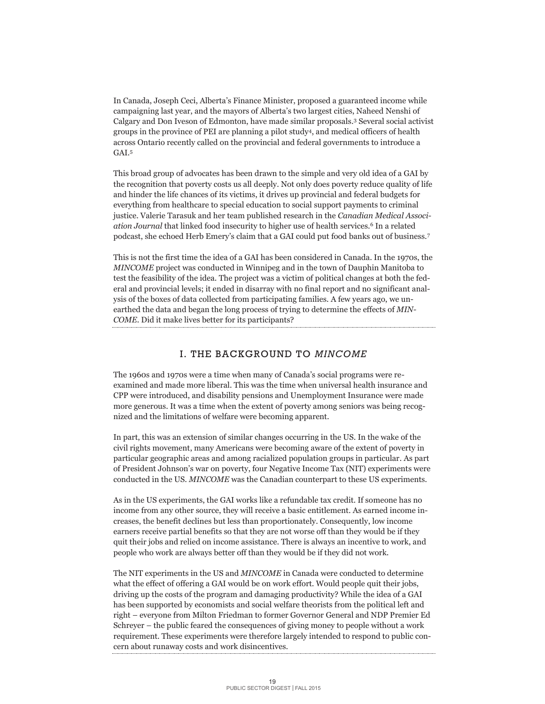In Canada, Joseph Ceci, Alberta's Finance Minister, proposed a guaranteed income while campaigning last year, and the mayors of Alberta's two largest cities, Naheed Nenshi of Calgary and Don Iveson of Edmonton, have made similar proposals. <sup>3</sup> Several social activist groups in the province of PEI are planning a pilot study4, and medical officers of health across Ontario recently called on the provincial and federal governments to introduce a GAI.5

This broad group of advocates has been drawn to the simple and very old idea of a GAI by the recognition that poverty costs us all deeply. Not only does poverty reduce quality of life and hinder the life chances of its victims, it drives up provincial and federal budgets for everything from healthcare to special education to social support payments to criminal justice. Valerie Tarasuk and her team published research in the *Canadian Medical Association Journal* that linked food insecurity to higher use of health services.6 In a related podcast, she echoed Herb Emery's claim that a GAI could put food banks out of business.7

This is not the first time the idea of a GAI has been considered in Canada. In the 1970s, the *MINCOME* project was conducted in Winnipeg and in the town of Dauphin Manitoba to test the feasibility of the idea. The project was a victim of political changes at both the federal and provincial levels; it ended in disarray with no final report and no significant analysis of the boxes of data collected from participating families. A few years ago, we unearthed the data and began the long process of trying to determine the effects of *MIN-COME.* Did it make lives better for its participants?

## I. THE BACKGROUND TO *MINCOME*

The 1960s and 1970s were a time when many of Canada's social programs were reexamined and made more liberal. This was the time when universal health insurance and CPP were introduced, and disability pensions and Unemployment Insurance were made more generous. It was a time when the extent of poverty among seniors was being recognized and the limitations of welfare were becoming apparent.

In part, this was an extension of similar changes occurring in the US. In the wake of the civil rights movement, many Americans were becoming aware of the extent of poverty in particular geographic areas and among racialized population groups in particular. As part of President Johnson's war on poverty, four Negative Income Tax (NIT) experiments were conducted in the US. *MINCOME* was the Canadian counterpart to these US experiments.

As in the US experiments, the GAI works like a refundable tax credit. If someone has no income from any other source, they will receive a basic entitlement. As earned income increases, the benefit declines but less than proportionately. Consequently, low income earners receive partial benefits so that they are not worse off than they would be if they quit their jobs and relied on income assistance. There is always an incentive to work, and people who work are always better off than they would be if they did not work.

The NIT experiments in the US and *MINCOME* in Canada were conducted to determine what the effect of offering a GAI would be on work effort. Would people quit their jobs, driving up the costs of the program and damaging productivity? While the idea of a GAI has been supported by economists and social welfare theorists from the political left and right – everyone from Milton Friedman to former Governor General and NDP Premier Ed Schreyer – the public feared the consequences of giving money to people without a work requirement. These experiments were therefore largely intended to respond to public concern about runaway costs and work disincentives.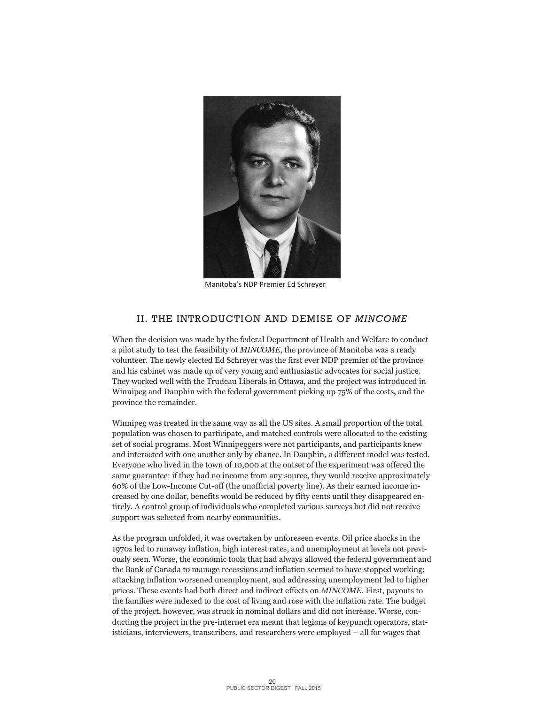

Manitoba's NDP Premier Ed Schreyer

### II. THE INTRODUCTION AND DEMISE OF *MINCOME*

When the decision was made by the federal Department of Health and Welfare to conduct a pilot study to test the feasibility of *MINCOME*, the province of Manitoba was a ready volunteer. The newly elected Ed Schreyer was the first ever NDP premier of the province and his cabinet was made up of very young and enthusiastic advocates for social justice. They worked well with the Trudeau Liberals in Ottawa, and the project was introduced in Winnipeg and Dauphin with the federal government picking up 75% of the costs, and the province the remainder.

Winnipeg was treated in the same way as all the US sites. A small proportion of the total population was chosen to participate, and matched controls were allocated to the existing set of social programs. Most Winnipeggers were not participants, and participants knew and interacted with one another only by chance. In Dauphin, a different model was tested. Everyone who lived in the town of 10,000 at the outset of the experiment was offered the same guarantee: if they had no income from any source, they would receive approximately 60% of the Low-Income Cut-off (the unofficial poverty line). As their earned income increased by one dollar, benefits would be reduced by fifty cents until they disappeared entirely. A control group of individuals who completed various surveys but did not receive support was selected from nearby communities.

As the program unfolded, it was overtaken by unforeseen events. Oil price shocks in the 1970s led to runaway inflation, high interest rates, and unemployment at levels not previously seen. Worse, the economic tools that had always allowed the federal government and the Bank of Canada to manage recessions and inflation seemed to have stopped working; attacking inflation worsened unemployment, and addressing unemployment led to higher prices. These events had both direct and indirect effects on *MINCOME.* First, payouts to the families were indexed to the cost of living and rose with the inflation rate. The budget of the project, however, was struck in nominal dollars and did not increase. Worse, conducting the project in the pre-internet era meant that legions of keypunch operators, statisticians, interviewers, transcribers, and researchers were employed – all for wages that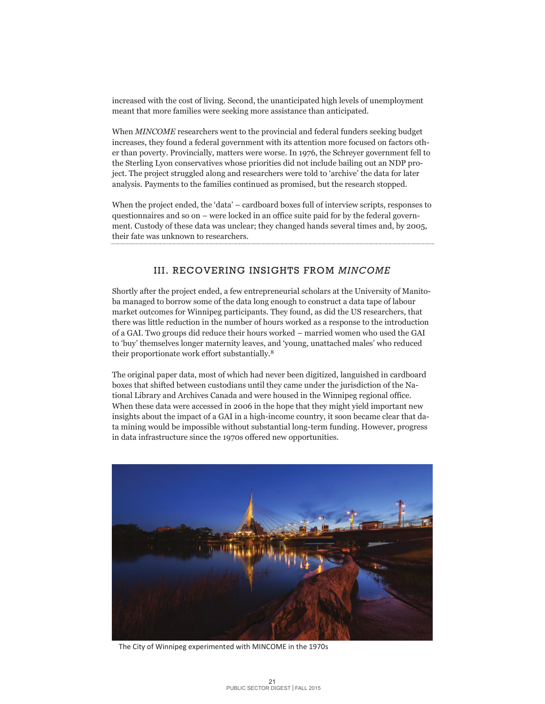increased with the cost of living. Second, the unanticipated high levels of unemployment meant that more families were seeking more assistance than anticipated.

When *MINCOME* researchers went to the provincial and federal funders seeking budget increases, they found a federal government with its attention more focused on factors other than poverty. Provincially, matters were worse. In 1976, the Schreyer government fell to the Sterling Lyon conservatives whose priorities did not include bailing out an NDP project. The project struggled along and researchers were told to 'archive' the data for later analysis. Payments to the families continued as promised, but the research stopped.

When the project ended, the 'data' – cardboard boxes full of interview scripts, responses to questionnaires and so on – were locked in an office suite paid for by the federal government. Custody of these data was unclear; they changed hands several times and, by 2005, their fate was unknown to researchers.

### III. RECOVERING INSIGHTS FROM *MINCOME*

Shortly after the project ended, a few entrepreneurial scholars at the University of Manitoba managed to borrow some of the data long enough to construct a data tape of labour market outcomes for Winnipeg participants. They found, as did the US researchers, that there was little reduction in the number of hours worked as a response to the introduction of a GAI. Two groups did reduce their hours worked – married women who used the GAI to 'buy' themselves longer maternity leaves, and 'young, unattached males' who reduced their proportionate work effort substantially.8

The original paper data, most of which had never been digitized, languished in cardboard boxes that shifted between custodians until they came under the jurisdiction of the National Library and Archives Canada and were housed in the Winnipeg regional office. When these data were accessed in 2006 in the hope that they might yield important new insights about the impact of a GAI in a high-income country, it soon became clear that data mining would be impossible without substantial long-term funding. However, progress in data infrastructure since the 1970s offered new opportunities.



The City of Winnipeg experimented with MINCOME in the 1970s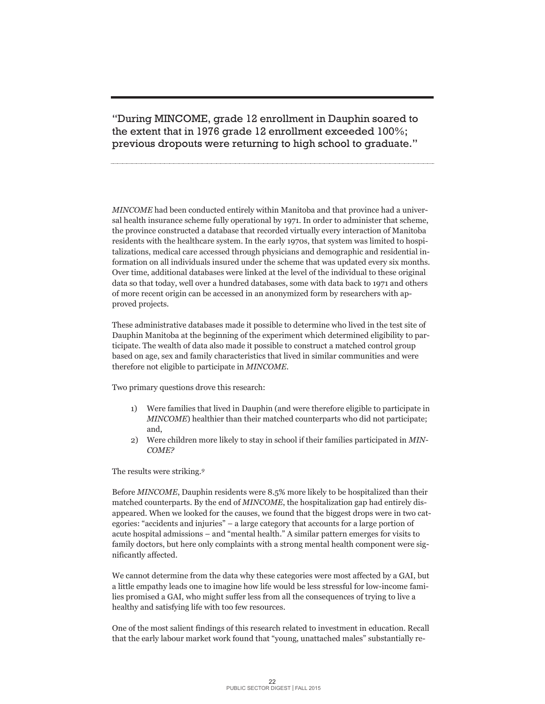"During MINCOME, grade 12 enrollment in Dauphin soared to the extent that in 1976 grade 12 enrollment exceeded 100%; previous dropouts were returning to high school to graduate."

*MINCOME* had been conducted entirely within Manitoba and that province had a universal health insurance scheme fully operational by 1971. In order to administer that scheme, the province constructed a database that recorded virtually every interaction of Manitoba residents with the healthcare system. In the early 1970s, that system was limited to hospitalizations, medical care accessed through physicians and demographic and residential information on all individuals insured under the scheme that was updated every six months. Over time, additional databases were linked at the level of the individual to these original data so that today, well over a hundred databases, some with data back to 1971 and others of more recent origin can be accessed in an anonymized form by researchers with approved projects.

These administrative databases made it possible to determine who lived in the test site of Dauphin Manitoba at the beginning of the experiment which determined eligibility to participate. The wealth of data also made it possible to construct a matched control group based on age, sex and family characteristics that lived in similar communities and were therefore not eligible to participate in *MINCOME*.

Two primary questions drove this research:

- 1) Were families that lived in Dauphin (and were therefore eligible to participate in *MINCOME*) healthier than their matched counterparts who did not participate; and,
- 2) Were children more likely to stay in school if their families participated in *MIN-COME?*

The results were striking.*<sup>9</sup>*

Before *MINCOME*, Dauphin residents were 8.5% more likely to be hospitalized than their matched counterparts. By the end of *MINCOME*, the hospitalization gap had entirely disappeared. When we looked for the causes, we found that the biggest drops were in two categories: "accidents and injuries" – a large category that accounts for a large portion of acute hospital admissions – and "mental health." A similar pattern emerges for visits to family doctors, but here only complaints with a strong mental health component were significantly affected.

We cannot determine from the data why these categories were most affected by a GAI, but a little empathy leads one to imagine how life would be less stressful for low-income families promised a GAI, who might suffer less from all the consequences of trying to live a healthy and satisfying life with too few resources.

One of the most salient findings of this research related to investment in education. Recall that the early labour market work found that "young, unattached males" substantially re